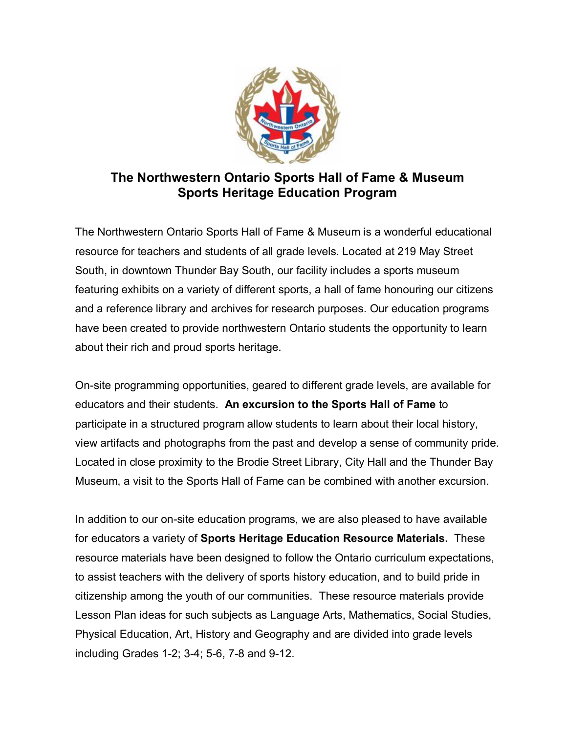

## **The Northwestern Ontario Sports Hall of Fame & Museum Sports Heritage Education Program**

The Northwestern Ontario Sports Hall of Fame & Museum is a wonderful educational resource for teachers and students of all grade levels. Located at 219 May Street South, in downtown Thunder Bay South, our facility includes a sports museum featuring exhibits on a variety of different sports, a hall of fame honouring our citizens and a reference library and archives for research purposes. Our education programs have been created to provide northwestern Ontario students the opportunity to learn about their rich and proud sports heritage.

On-site programming opportunities, geared to different grade levels, are available for educators and their students. **An excursion to the Sports Hall of Fame** to participate in a structured program allow students to learn about their local history, view artifacts and photographs from the past and develop a sense of community pride. Located in close proximity to the Brodie Street Library, City Hall and the Thunder Bay Museum, a visit to the Sports Hall of Fame can be combined with another excursion.

In addition to our on-site education programs, we are also pleased to have available for educators a variety of **Sports Heritage Education Resource Materials.** These resource materials have been designed to follow the Ontario curriculum expectations, to assist teachers with the delivery of sports history education, and to build pride in citizenship among the youth of our communities. These resource materials provide Lesson Plan ideas for such subjects as Language Arts, Mathematics, Social Studies, Physical Education, Art, History and Geography and are divided into grade levels including Grades 1-2; 3-4; 5-6, 7-8 and 9-12.